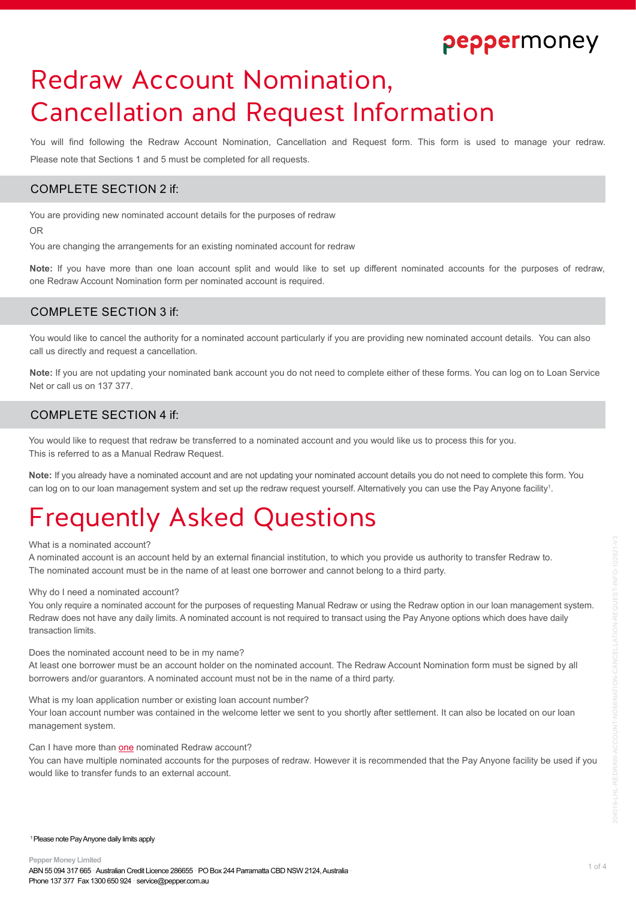# Redraw Account Nomination, Cancellation and Request Information

You will find following the Redraw Account Nomination, Cancellation and Request form. This form is used to manage your redraw. Please note that Sections 1 and 5 must be completed for all requests.

### COMPLETE SECTION 2 if:

You are providing new nominated account details for the purposes of redraw

OR

You are changing the arrangements for an existing nominated account for redraw

**Note:** If you have more than one loan account split and would like to set up different nominated accounts for the purposes of redraw, one Redraw Account Nomination form per nominated account is required.

### COMPLETE SECTION 3 if:

You would like to cancel the authority for a nominated account particularly if you are providing new nominated account details. You can also call us directly and request a cancellation.

**Note:** If you are not updating your nominated bank account you do not need to complete either of these forms. You can log on to Loan Service Net or call us on 137 377.

## COMPLETE SECTION 4 if:

You would like to request that redraw be transferred to a nominated account and you would like us to process this for you. This is referred to as a Manual Redraw Request.

**Note:** If you already have a nominated account and are not updating your nominated account details you do not need to complete this form. You can log on to our loan management system and set up the redraw request yourself. Alternatively you can use the Pay Anyone facility<sup>1</sup> .

# Frequently Asked Questions

### What is a nominated account?

A nominated account is an account held by an external financial institution, to which you provide us authority to transfer Redraw to. The nominated account must be in the name of at least one borrower and cannot belong to a third party.

#### Why do I need a nominated account?

You only require a nominated account for the purposes of requesting Manual Redraw or using the Redraw option in our loan management system. Redraw does not have any daily limits. A nominated account is not required to transact using the Pay Anyone options which does have daily transaction limits.

Does the nominated account need to be in my name?

At least one borrower must be an account holder on the nominated account. The Redraw Account Nomination form must be signed by all borrowers and/or guarantors. A nominated account must not be in the name of a third party.

What is my loan application number or existing loan account number?

Your loan account number was contained in the welcome letter we sent to you shortly after settlement. It can also be located on our loan management system.

Can I have more than one nominated Redraw account?

You can have multiple nominated accounts for the purposes of redraw. However it is recommended that the Pay Anyone facility be used if you would like to transfer funds to an external account.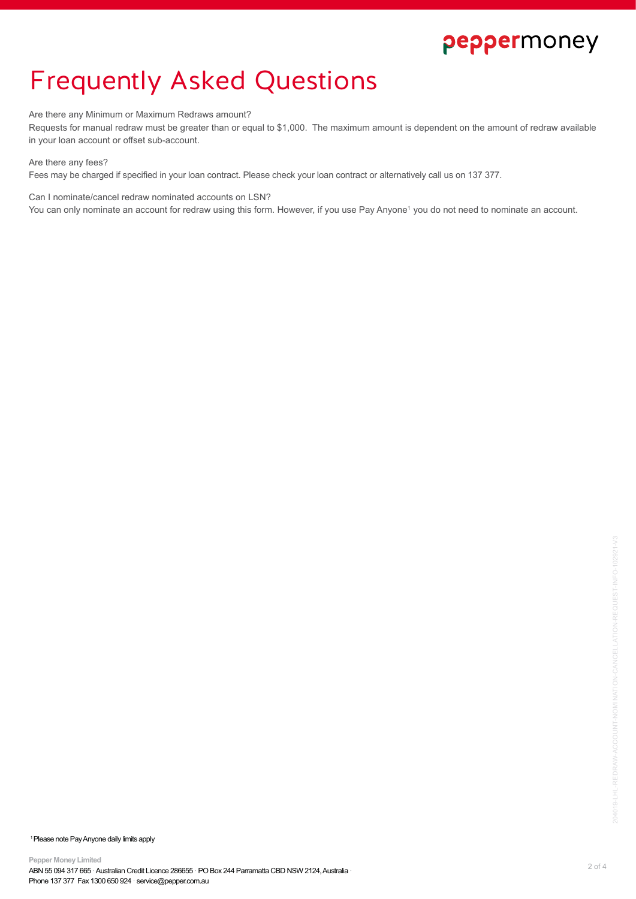# Frequently Asked Questions

### Are there any Minimum or Maximum Redraws amount?

Requests for manual redraw must be greater than or equal to \$1,000. The maximum amount is dependent on the amount of redraw available in your loan account or offset sub-account.

### Are there any fees?

Fees may be charged if specified in your loan contract. Please check your loan contract or alternatively call us on 137 377.

Can I nominate/cancel redraw nominated accounts on LSN?

You can only nominate an account for redraw using this form. However, if you use Pay Anyone<sup>1</sup> you do not need to nominate an account.

<sup>1</sup> Please note Pay Anyone daily limits apply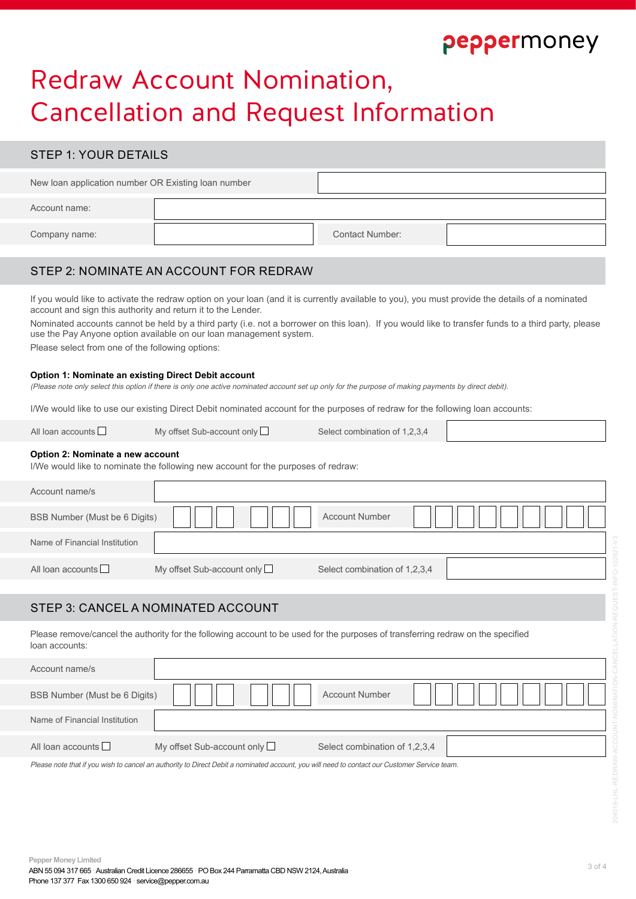# Redraw Account Nomination, Cancellation and Request Information

### STEP 1: YOUR DETAILS

| New loan application number OR Existing loan number |  |                        |  |
|-----------------------------------------------------|--|------------------------|--|
| Account name:                                       |  |                        |  |
| Company name:                                       |  | <b>Contact Number:</b> |  |

### STEP 2: NOMINATE AN ACCOUNT FOR REDRAW

If you would like to activate the redraw option on your loan (and it is currently available to you), you must provide the details of a nominated account and sign this authority and return it to the Lender.

Nominated accounts cannot be held by a third party (i.e. not a borrower on this loan). If you would like to transfer funds to a third party, please use the Pay Anyone option available on our loan management system.

Please select from one of the following options:

#### **Option 1: Nominate an existing Direct Debit account**

(Please note only select this option if there is only one active nominated account set up only for the purpose of making payments by direct debit).

I/We would like to use our existing Direct Debit nominated account for the purposes of redraw for the following loan accounts:

Name of Financial Institution

All loan accounts  $\Box$  My offset Sub-account only  $\Box$  Select combination of 1.2.3.4

#### **Option 2: Nominate a new account**

I/We would like to nominate the following new account for the purposes of redraw:

| Account name/s                |                                                                                                                                  |                               |  |
|-------------------------------|----------------------------------------------------------------------------------------------------------------------------------|-------------------------------|--|
| BSB Number (Must be 6 Digits) |                                                                                                                                  | <b>Account Number</b>         |  |
| Name of Financial Institution |                                                                                                                                  |                               |  |
| All loan accounts             | My offset Sub-account only                                                                                                       | Select combination of 1,2,3,4 |  |
|                               |                                                                                                                                  |                               |  |
|                               | STEP 3: CANCEL A NOMINATED ACCOUNT                                                                                               |                               |  |
| loan accounts:                | Please remove/cancel the authority for the following account to be used for the purposes of transferring redraw on the specified |                               |  |
| Account name/s                |                                                                                                                                  |                               |  |
| BSB Number (Must be 6 Digits) |                                                                                                                                  | <b>Account Number</b>         |  |

All loan accounts  $\Box$  My offset Sub-account only  $\Box$  Select combination of 1,2,3,4

Please note that if you wish to cancel an authority to Direct Debit a nominated account, you will need to contact our Customer Service team.